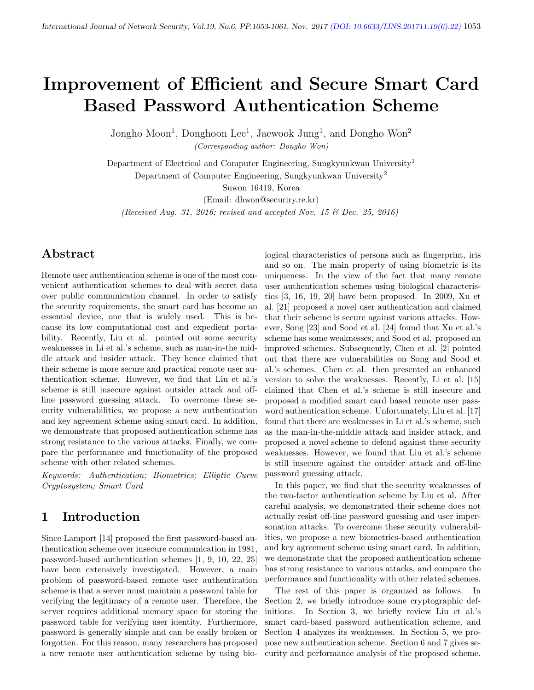# Improvement of Efficient and Secure Smart Card Based Password Authentication Scheme

Jongho Moon<sup>1</sup>, Donghoon Lee<sup>1</sup>, Jaewook Jung<sup>1</sup>, and Dongho Won<sup>2</sup>

(Corresponding author: Dongho Won)

Department of Electrical and Computer Engineering, Sungkyunkwan University<sup>1</sup> Department of Computer Engineering, Sungkyunkwan University<sup>2</sup>

Suwon 16419, Korea

(Email: dhwon@securiry.re.kr)

(Received Aug. 31, 2016; revised and accepted Nov. 15  $\mathcal B$  Dec. 25, 2016)

### Abstract

Remote user authentication scheme is one of the most convenient authentication schemes to deal with secret data over public communication channel. In order to satisfy the security requirements, the smart card has become an essential device, one that is widely used. This is because its low computational cost and expedient portability. Recently, Liu et al. pointed out some security weaknesses in Li et al.'s scheme, such as man-in-the middle attack and insider attack. They hence claimed that their scheme is more secure and practical remote user authentication scheme. However, we find that Liu et al.'s scheme is still insecure against outsider attack and offline password guessing attack. To overcome these security vulnerabilities, we propose a new authentication and key agreement scheme using smart card. In addition, we demonstrate that proposed authentication scheme has strong resistance to the various attacks. Finally, we compare the performance and functionality of the proposed scheme with other related schemes.

Keywords: Authentication; Biometrics; Elliptic Curve Cryptosystem; Smart Card

# 1 Introduction

Since Lamport [14] proposed the first password-based authentication scheme over insecure communication in 1981, password-based authentication schemes [1, 9, 10, 22, 25] have been extensively investigated. However, a main problem of password-based remote user authentication scheme is that a server must maintain a password table for verifying the legitimacy of a remote user. Therefore, the server requires additional memory space for storing the password table for verifying user identity. Furthermore, password is generally simple and can be easily broken or forgotten. For this reason, many researchers has proposed a new remote user authentication scheme by using bio-

logical characteristics of persons such as fingerprint, iris and so on. The main property of using biometric is its uniqueness. In the view of the fact that many remote user authentication schemes using biological characteristics [3, 16, 19, 20] have been proposed. In 2009, Xu et al. [21] proposed a novel user authentication and claimed that their scheme is secure against various attacks. However, Song [23] and Sood et al. [24] found that Xu et al.'s scheme has some weaknesses, and Sood et al. proposed an improved schemes. Subsequently, Chen et al. [2] pointed out that there are vulnerabilities on Song and Sood et al.'s schemes. Chen et al. then presented an enhanced version to solve the weaknesses. Recently, Li et al. [15] claimed that Chen et al.'s scheme is still insecure and proposed a modified smart card based remote user password authentication scheme. Unfortunately, Liu et al. [17] found that there are weaknesses in Li et al.'s scheme, such as the man-in-the-middle attack and insider attack, and proposed a novel scheme to defend against these security weaknesses. However, we found that Liu et al.'s scheme is still insecure against the outsider attack and off-line password guessing attack.

In this paper, we find that the security weaknesses of the two-factor authentication scheme by Liu et al. After careful analysis, we demonstrated their scheme does not actually resist off-line password guessing and user impersonation attacks. To overcome these security vulnerabilities, we propose a new biometrics-based authentication and key agreement scheme using smart card. In addition, we demonstrate that the proposed authentication scheme has strong resistance to various attacks, and compare the performance and functionality with other related schemes.

The rest of this paper is organized as follows. In Section 2, we briefly introduce some cryptographic definitions. In Section 3, we briefly review Liu et al.'s smart card-based password authentication scheme, and Section 4 analyzes its weaknesses. In Section 5, we propose new authentication scheme. Section 6 and 7 gives security and performance analysis of the proposed scheme.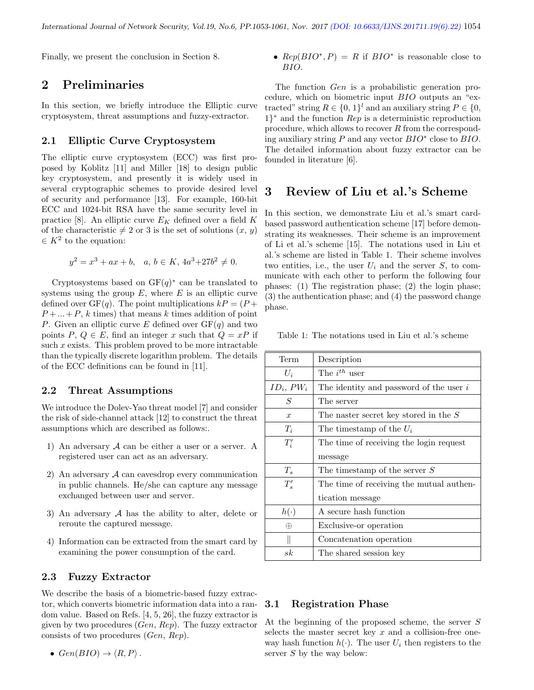Finally, we present the conclusion in Section 8.

# 2 Preliminaries

In this section, we briefly introduce the Elliptic curve cryptosystem, threat assumptions and fuzzy-extractor.

#### 2.1 Elliptic Curve Cryptosystem

The elliptic curve cryptosystem (ECC) was first proposed by Koblitz [11] and Miller [18] to design public key cryptosystem, and presently it is widely used in several cryptographic schemes to provide desired level of security and performance [13]. For example, 160-bit ECC and 1024-bit RSA have the same security level in practice [8]. An elliptic curve  $E_K$  defined over a field K of the characteristic  $\neq 2$  or 3 is the set of solutions  $(x, y)$  $\in K^2$  to the equation:

$$
y^2 = x^3 + ax + b, \quad a, b \in K, 4a^3 + 27b^2 \neq 0.
$$

Cryptosystems based on  $GF(q)^*$  can be translated to systems using the group  $E$ , where  $E$  is an elliptic curve defined over  $GF(q)$ . The point multiplications  $kP = (P +$  $P + \ldots + P$ , k times) that means k times addition of point P. Given an elliptic curve E defined over  $GF(q)$  and two points  $P, Q \in E$ , find an integer x such that  $Q = xP$  if such  $x$  exists. This problem proved to be more intractable than the typically discrete logarithm problem. The details of the ECC definitions can be found in [11].

#### 2.2 Threat Assumptions

We introduce the Dolev-Yao threat model [7] and consider the risk of side-channel attack [12] to construct the threat assumptions which are described as follows:.

- 1) An adversary  $A$  can be either a user or a server. A registered user can act as an adversary.
- 2) An adversary  $A$  can eavesdrop every communication in public channels. He/she can capture any message exchanged between user and server.
- 3) An adversary  $A$  has the ability to alter, delete or reroute the captured message.
- 4) Information can be extracted from the smart card by examining the power consumption of the card.

#### 2.3 Fuzzy Extractor

We describe the basis of a biometric-based fuzzy extractor, which converts biometric information data into a random value. Based on Refs. [4, 5, 26], the fuzzy extractor is given by two procedures (Gen, Rep). The fuzzy extractor consists of two procedures (Gen, Rep).

• 
$$
Gen(BIO) \rightarrow \langle R, P \rangle
$$
.

•  $Rep(BIO^*, P) = R$  if  $BIO^*$  is reasonable close to BIO.

The function Gen is a probabilistic generation procedure, which on biometric input BIO outputs an "extracted" string  $R \in \{0, 1\}^l$  and an auxiliary string  $P \in \{0, 1\}^l$ 1} <sup>∗</sup> and the function Rep is a deterministic reproduction procedure, which allows to recover R from the corresponding auxiliary string  $P$  and any vector  $BIO^*$  close to  $BIO$ . The detailed information about fuzzy extractor can be founded in literature [6].

### 3 Review of Liu et al.'s Scheme

In this section, we demonstrate Liu et al.'s smart cardbased password authentication scheme [17] before demonstrating its weaknesses. Their scheme is an improvement of Li et al.'s scheme [15]. The notations used in Liu et al.'s scheme are listed in Table 1. Their scheme involves two entities, i.e., the user  $U_i$  and the server  $S$ , to communicate with each other to perform the following four phases: (1) The registration phase; (2) the login phase; (3) the authentication phase; and (4) the password change phase.

Table 1: The notations used in Liu et al.'s scheme

| Term             | Description                               |
|------------------|-------------------------------------------|
| $U_i$            | The $i^{th}$ user                         |
| $ID_i, PW_i$     | The identity and password of the user $i$ |
| S                | The server                                |
| $\boldsymbol{x}$ | The naster secret key stored in the $S$   |
| $T_i$            | The timestamp of the $U_i$                |
| $T_i'$           | The time of receiving the login request   |
|                  | message                                   |
| $T_s$            | The timestamp of the server $S$           |
| $T_{s}'$         | The time of receiving the mutual authen-  |
|                  | tication message                          |
| $h(\cdot)$       | A secure hash function                    |
| ⊕                | Exclusive-or operation                    |
|                  | Concatenation operation                   |
| $_{sk}$          | The shared session key                    |

#### 3.1 Registration Phase

At the beginning of the proposed scheme, the server S selects the master secret key  $x$  and a collision-free oneway hash function  $h(\cdot)$ . The user  $U_i$  then registers to the server  $S$  by the way below: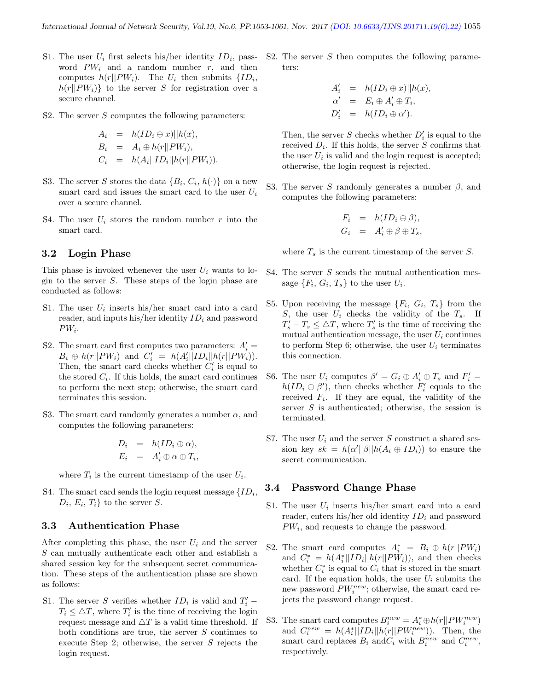- S1. The user  $U_i$  first selects his/her identity  $ID_i$ , password  $PW_i$  and a random number  $r$ , and then computes  $h(r||PW_i)$ . The  $U_i$  then submits  $\{ID_i,$  $h(r||PW_i)$  to the server S for registration over a secure channel.
- S2. The server  $S$  computes the following parameters:

$$
A_i = h(ID_i \oplus x) || h(x),
$$
  
\n
$$
B_i = A_i \oplus h(r||PW_i),
$$
  
\n
$$
C_i = h(A_i||ID_i||h(r||PW_i)).
$$

- S3. The server S stores the data  $\{B_i, C_i, h(\cdot)\}$  on a new smart card and issues the smart card to the user  $U_i$ over a secure channel.
- S4. The user  $U_i$  stores the random number r into the smart card.

#### 3.2 Login Phase

This phase is invoked whenever the user  $U_i$  wants to login to the server S. These steps of the login phase are conducted as follows:

- S1. The user  $U_i$  inserts his/her smart card into a card reader, and inputs his/her identity  $ID_i$  and password  $PW_i$ .
- S2. The smart card first computes two parameters:  $A_i' =$  $B_i \oplus h(r||PW_i)$  and  $C'_i = h(A'_i||ID_i||h(r||PW_i)).$ Then, the smart card checks whether  $C_i'$  is equal to the stored  $C_i$ . If this holds, the smart card continues to perform the next step; otherwise, the smart card terminates this session.
- S3. The smart card randomly generates a number  $\alpha$ , and computes the following parameters:

$$
D_i = h(ID_i \oplus \alpha),
$$
  

$$
E_i = A'_i \oplus \alpha \oplus T_i,
$$

where  $T_i$  is the current timestamp of the user  $U_i$ .

S4. The smart card sends the login request message  $\{ID_i,$  $D_i, E_i, T_i$  to the server S.

#### 3.3 Authentication Phase

After completing this phase, the user  $U_i$  and the server S can mutually authenticate each other and establish a shared session key for the subsequent secret communication. These steps of the authentication phase are shown as follows:

S1. The server S verifies whether  $ID_i$  is valid and  $T'_i$  –  $T_i \leq \Delta T$ , where  $T_i'$  is the time of receiving the login request message and  $\triangle T$  is a valid time threshold. If both conditions are true, the server S continues to execute Step 2; otherwise, the server  $S$  rejects the login request.

S2. The server  $S$  then computes the following parameters:

$$
A'_{i} = h(ID_{i} \oplus x)||h(x),
$$
  
\n
$$
\alpha' = E_{i} \oplus A'_{i} \oplus T_{i},
$$
  
\n
$$
D'_{i} = h(ID_{i} \oplus \alpha').
$$

Then, the server  $S$  checks whether  $D_i'$  is equal to the received  $D_i$ . If this holds, the server S confirms that the user  $U_i$  is valid and the login request is accepted; otherwise, the login request is rejected.

S3. The server S randomly generates a number  $\beta$ , and computes the following parameters:

$$
F_i = h(ID_i \oplus \beta),
$$
  
\n
$$
G_i = A'_i \oplus \beta \oplus T_s,
$$

where  $T_s$  is the current timestamp of the server S.

- S4. The server  $S$  sends the mutual authentication message  $\{F_i, G_i, T_s\}$  to the user  $U_i$ .
- S5. Upon receiving the message  $\{F_i, G_i, T_s\}$  from the S, the user  $U_i$  checks the validity of the  $T_s$ . If  $T_s' - T_s \leq \Delta T$ , where  $T_s'$  is the time of receiving the mutual authentication message, the user  $U_i$  continues to perform Step 6; otherwise, the user  $U_i$  terminates this connection.
- S6. The user  $U_i$  computes  $\beta' = G_i \oplus A'_i \oplus T_s$  and  $F'_i =$  $h(ID_i \oplus \beta')$ , then checks whether  $F'_i$  equals to the received  $F_i$ . If they are equal, the validity of the server  $S$  is authenticated; otherwise, the session is terminated.
- S7. The user  $U_i$  and the server S construct a shared session key  $sk = h(\alpha' || \beta || h(A_i \oplus ID_i))$  to ensure the secret communication.

#### 3.4 Password Change Phase

- S1. The user  $U_i$  inserts his/her smart card into a card reader, enters his/her old identity  $ID_i$  and password  $PW_i$ , and requests to change the password.
- S2. The smart card computes  $A_i^* = B_i \oplus h(r||PW_i)$ and  $C_i^* = h(A_i^*||ID_i||h(r||PW_i)),$  and then checks whether  $C_i^*$  is equal to  $C_i$  that is stored in the smart card. If the equation holds, the user  $U_i$  submits the new password  $PW_i^{new}$ ; otherwise, the smart card rejects the password change request.
- S3. The smart card computes  $B_i^{new} = A_i^* \oplus h(r||PW_i^{new})$ and  $C_i^{new} = h(A_i^*||ID_i||h(r||PW_i^{new}))$ . Then, the smart card replaces  $B_i$  and  $C_i$  with  $B_i^{new}$  and  $C_i^{new}$ , respectively.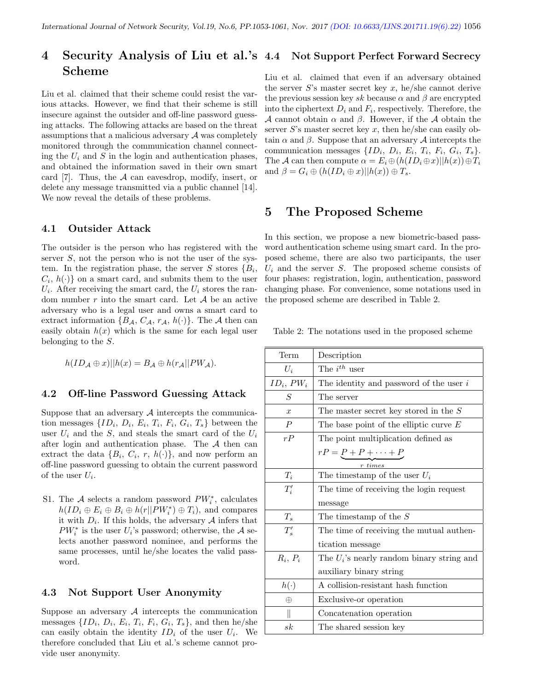#### 4 Security Analysis of Liu et al.'s Scheme Not Support Perfect Forward Secrecy

Liu et al. claimed that their scheme could resist the various attacks. However, we find that their scheme is still insecure against the outsider and off-line password guessing attacks. The following attacks are based on the threat assumptions that a malicious adversary  $\mathcal A$  was completely monitored through the communication channel connecting the  $U_i$  and S in the login and authentication phases, and obtained the information saved in their own smart card [7]. Thus, the A can eavesdrop, modify, insert, or delete any message transmitted via a public channel [14]. We now reveal the details of these problems.

#### 4.1 Outsider Attack

The outsider is the person who has registered with the server  $S$ , not the person who is not the user of the system. In the registration phase, the server  $S$  stores  $\{B_i,$  $C_i$ ,  $h(\cdot)$  on a smart card, and submits them to the user  $U_i$ . After receiving the smart card, the  $U_i$  stores the random number  $r$  into the smart card. Let  $A$  be an active adversary who is a legal user and owns a smart card to extract information  $\{B_{\mathcal{A}}, C_{\mathcal{A}}, r_{\mathcal{A}}, h(\cdot)\}\$ . The  $\mathcal A$  then can easily obtain  $h(x)$  which is the same for each legal user belonging to the S.

$$
h(ID_{\mathcal{A}} \oplus x)||h(x) = B_{\mathcal{A}} \oplus h(r_{\mathcal{A}}||PW_{\mathcal{A}}).
$$

#### 4.2 Off-line Password Guessing Attack

Suppose that an adversary  $A$  intercepts the communication messages  $\{ID_i, D_i, E_i, T_i, F_i, G_i, T_s\}$  between the user  $U_i$  and the S, and steals the smart card of the  $U_i$ after login and authentication phase. The  $A$  then can extract the data  $\{B_i, C_i, r, h(\cdot)\}\$ , and now perform an off-line password guessing to obtain the current password of the user  $U_i$ .

S1. The  $A$  selects a random password  $PW_i^*$ , calculates  $h(ID_i \oplus E_i \oplus B_i \oplus h(r||PW_i^*) \oplus T_i)$ , and compares it with  $D_i$ . If this holds, the adversary  $\mathcal A$  infers that  $PW_i^*$  is the user  $U_i$ 's password; otherwise, the A selects another password nominee, and performs the same processes, until he/she locates the valid password.

#### 4.3 Not Support User Anonymity

Suppose an adversary  $A$  intercepts the communication messages  $\{ID_i, D_i, E_i, T_i, F_i, G_i, T_s\}$ , and then he/she can easily obtain the identity  $ID_i$  of the user  $U_i$ . We therefore concluded that Liu et al.'s scheme cannot provide user anonymity.

Liu et al. claimed that even if an adversary obtained the server  $S$ 's master secret key  $x$ , he/she cannot derive the previous session key sk because  $\alpha$  and  $\beta$  are encrypted into the ciphertext  $D_i$  and  $F_i$ , respectively. Therefore, the A cannot obtain  $\alpha$  and  $\beta$ . However, if the A obtain the server  $S$ 's master secret key  $x$ , then he/she can easily obtain  $\alpha$  and  $\beta$ . Suppose that an adversary A intercepts the communication messages  $\{ID_i, D_i, E_i, T_i, F_i, G_i, T_s\}.$ The A can then compute  $\alpha = E_i \oplus (h(ID_i \oplus x)||h(x)) \oplus T_i$ and  $\beta = G_i \oplus (h(ID_i \oplus x)||h(x)) \oplus T_s$ .

## 5 The Proposed Scheme

In this section, we propose a new biometric-based password authentication scheme using smart card. In the proposed scheme, there are also two participants, the user  $U_i$  and the server S. The proposed scheme consists of four phases: registration, login, authentication, password changing phase. For convenience, some notations used in the proposed scheme are described in Table 2.

Table 2: The notations used in the proposed scheme

| Term             | Description                                  |
|------------------|----------------------------------------------|
| $U_i$            | The $i^{th}$ user                            |
| $ID_i, PW_i$     | The identity and password of the user $i$    |
| S                | The server                                   |
| $\boldsymbol{x}$ | The master secret key stored in the $S$      |
| $\boldsymbol{P}$ | The base point of the elliptic curve $E$     |
| rP               | The point multiplication defined as          |
|                  | $rP = \underbrace{P + P + \cdots + P}$       |
|                  | $r \, time$                                  |
| $T_i$            | The timestamp of the user $U_i$              |
| $T_i'$           | The time of receiving the login request      |
|                  | message                                      |
| $T_s$            | The timestamp of the $S$                     |
| $T_s'$           | The time of receiving the mutual authen-     |
|                  | tication message                             |
| $R_i, P_i$       | The $U_i$ 's nearly random binary string and |
|                  | auxiliary binary string                      |
| $h(\cdot)$       | A collision-resistant hash function          |
| ⊕                | Exclusive-or operation                       |
|                  | Concatenation operation                      |
| sk               | The shared session key                       |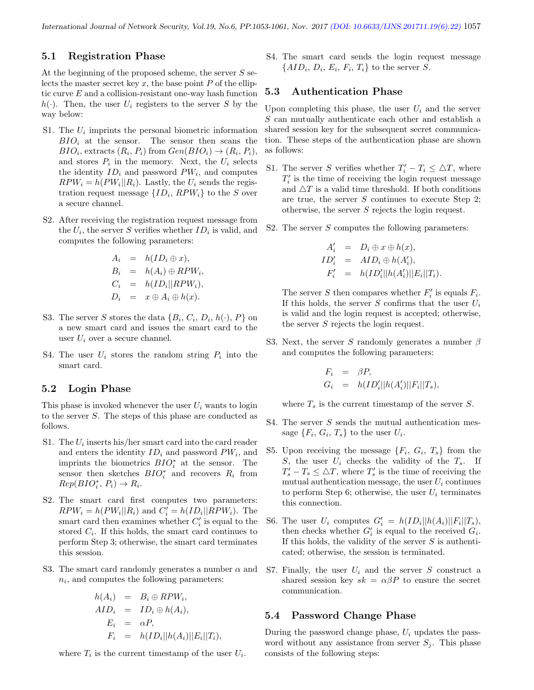#### 5.1 Registration Phase

At the beginning of the proposed scheme, the server S selects the master secret key  $x$ , the base point  $P$  of the elliptic curve E and a collision-resistant one-way hash function  $h(\cdot)$ . Then, the user  $U_i$  registers to the server S by the way below:

- S1. The  $U_i$  imprints the personal biometric information  $BIO_i$  at the sensor. The sensor then scans the  $BIO_i$ , extracts  $(R_i, P_i)$  from  $Gen(BIO_i) \rightarrow (R_i, P_i)$ , and stores  $P_i$  in the memory. Next, the  $U_i$  selects the identity  $ID_i$  and password  $PW_i$ , and computes  $RPW_i = h(PW_i||R_i)$ . Lastly, the  $U_i$  sends the registration request message  $\{ID_i, RPW_i\}$  to the S over a secure channel.
- S2. After receiving the registration request message from the  $U_i$ , the server S verifies whether  $ID_i$  is valid, and computes the following parameters:

$$
A_i = h(ID_i \oplus x),
$$
  
\n
$$
B_i = h(A_i) \oplus RPW_i,
$$
  
\n
$$
C_i = h(ID_i || RPW_i),
$$
  
\n
$$
D_i = x \oplus A_i \oplus h(x).
$$

- S3. The server S stores the data  $\{B_i, C_i, D_i, h(\cdot), P\}$  on a new smart card and issues the smart card to the user  $U_i$  over a secure channel.
- S4. The user  $U_i$  stores the random string  $P_i$  into the smart card.

#### 5.2 Login Phase

This phase is invoked whenever the user  $U_i$  wants to login to the server S. The steps of this phase are conducted as follows.

- S1. The  $U_i$  inserts his/her smart card into the card reader and enters the identity  $ID_i$  and password  $PW_i$ , and imprints the biometrics  $BIO_i^*$  at the sensor. The sensor then sketches  $BIO_i^*$  and recovers  $R_i$  from  $Rep(BIO_i^*, P_i) \to R_i.$
- S2. The smart card first computes two parameters:  $RPW_i = h(PW_i||R_i)$  and  $C'_i = h(ID_i||RPW_i)$ . The smart card then examines whether  $C_i'$  is equal to the stored  $C_i$ . If this holds, the smart card continues to perform Step 3; otherwise, the smart card terminates this session.
- S3. The smart card randomly generates a number  $\alpha$  and  $n_i$ , and computes the following parameters:

$$
h(A_i) = B_i \oplus RPW_i,
$$
  
\n
$$
AID_i = ID_i \oplus h(A_i),
$$
  
\n
$$
E_i = \alpha P,
$$
  
\n
$$
F_i = h(ID_i || h(A_i) || E_i || T_i),
$$

where  $T_i$  is the current timestamp of the user  $U_i$ .

S4. The smart card sends the login request message  $\{AID_i, D_i, E_i, F_i, T_i\}$  to the server S.

#### 5.3 Authentication Phase

Upon completing this phase, the user  $U_i$  and the server S can mutually authenticate each other and establish a shared session key for the subsequent secret communication. These steps of the authentication phase are shown as follows:

- S1. The server S verifies whether  $T_i' T_i \leq \Delta T$ , where  $T^\prime_i$  is the time of receiving the login request message and  $\Delta T$  is a valid time threshold. If both conditions are true, the server S continues to execute Step 2; otherwise, the server S rejects the login request.
- S2. The server  $S$  computes the following parameters:

$$
A'_i = D_i \oplus x \oplus h(x),
$$
  
\n
$$
ID'_i = AID_i \oplus h(A'_i),
$$
  
\n
$$
F'_i = h(ID'_i || h(A'_i) || E_i || T_i).
$$

The server S then compares whether  $F_i'$  is equals  $F_i$ . If this holds, the server S confirms that the user  $U_i$ is valid and the login request is accepted; otherwise, the server S rejects the login request.

S3. Next, the server S randomly generates a number  $\beta$ and computes the following parameters:

$$
F_i = \beta P,
$$
  
\n
$$
G_i = h(ID_i'||h(A_i')||F_i||T_s),
$$

where  $T_s$  is the current timestamp of the server S.

- S4. The server S sends the mutual authentication message  $\{F_i, G_i, T_s\}$  to the user  $U_i$ .
- S5. Upon receiving the message  $\{F_i, G_i, T_s\}$  from the S, the user  $U_i$  checks the validity of the  $T_s$ . If  $T_s' - T_s \leq \Delta T$ , where  $T_s'$  is the time of receiving the mutual authentication message, the user  $U_i$  continues to perform Step 6; otherwise, the user  $U_i$  terminates this connection.
- S6. The user  $U_i$  computes  $G'_i = h(ID_i || h(A_i) || F_i || T_s)$ , then checks whether  $G_i'$  is equal to the received  $G_i$ . If this holds, the validity of the server  $S$  is authenticated; otherwise, the session is terminated.
- S7. Finally, the user  $U_i$  and the server S construct a shared session key  $sk = \alpha \beta P$  to ensure the secret communication.

#### 5.4 Password Change Phase

During the password change phase,  $U_i$  updates the password without any assistance from server  $S_i$ . This phase consists of the following steps: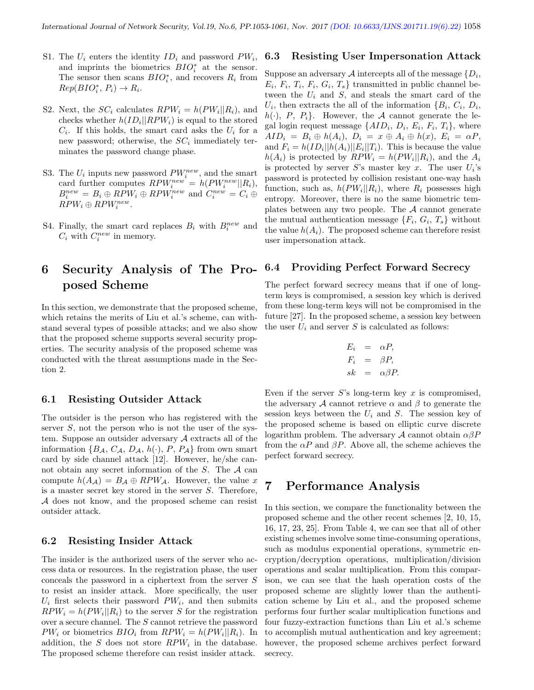- S1. The  $U_i$  enters the identity  $ID_i$  and password  $PW_i$ , and imprints the biometrics  $BIO_i^*$  at the sensor. The sensor then scans  $BIO_i^*$ , and recovers  $R_i$  from  $Rep(BIO_i^*, P_i) \to R_i.$
- S2. Next, the  $SC_i$  calculates  $RPW_i = h(PW_i||R_i)$ , and checks whether  $h(ID_i || RPW_i)$  is equal to the stored  $C_i$ . If this holds, the smart card asks the  $U_i$  for a new password; otherwise, the  $SC_i$  immediately terminates the password change phase.
- S3. The  $U_i$  inputs new password  $PW_i^{new}$ , and the smart card further computes  $RPW_i^{new} = h(PW_i^{new}||R_i)$ ,  $B_i^{new} = B_i \oplus RPW_i \oplus RPW_i^{new}$  and  $C_i^{new} = C_i \oplus$  $RPW_i \oplus RPW_i^{new}.$
- S4. Finally, the smart card replaces  $B_i$  with  $B_i^{new}$  and  $C_i$  with  $C_i^{new}$  in memory.

# 6 Security Analysis of The Proposed Scheme

In this section, we demonstrate that the proposed scheme, which retains the merits of Liu et al.'s scheme, can withstand several types of possible attacks; and we also show that the proposed scheme supports several security properties. The security analysis of the proposed scheme was conducted with the threat assumptions made in the Section 2.

#### 6.1 Resisting Outsider Attack

The outsider is the person who has registered with the server  $S$ , not the person who is not the user of the system. Suppose an outsider adversary  $A$  extracts all of the information  $\{B_{\mathcal{A}}, C_{\mathcal{A}}, D_{\mathcal{A}}, h(\cdot), P, P_{\mathcal{A}}\}$  from own smart card by side channel attack [12]. However, he/she cannot obtain any secret information of the  $S$ . The  $A$  can compute  $h(A_{\mathcal{A}}) = B_{\mathcal{A}} \oplus RPW_{\mathcal{A}}$ . However, the value x is a master secret key stored in the server S. Therefore, A does not know, and the proposed scheme can resist outsider attack.

#### 6.2 Resisting Insider Attack

The insider is the authorized users of the server who access data or resources. In the registration phase, the user conceals the password in a ciphertext from the server S to resist an insider attack. More specifically, the user  $U_i$  first selects their password  $PW_i$ , and then submits  $RPW_i = h(PW_i||R_i)$  to the server S for the registration over a secure channel. The S cannot retrieve the password  $PW_i$  or biometrics  $BIO_i$  from  $RPW_i = h(PW_i||R_i)$ . In addition, the  $S$  does not store  $RPW_i$  in the database. The proposed scheme therefore can resist insider attack.

#### 6.3 Resisting User Impersonation Attack

Suppose an adversary  $\mathcal A$  intercepts all of the message  $\{D_i,$  $E_i, F_i, T_i, F_i, G_i, T_s$  transmitted in public channel between the  $U_i$  and  $S$ , and steals the smart card of the  $U_i$ , then extracts the all of the information  $\{B_i, C_i, D_i, \}$  $h(\cdot), P, P_i$ . However, the A cannot generate the legal login request message  $\{AID_i, D_i, E_i, F_i, T_i\}$ , where  $AID_i = B_i \oplus h(A_i), D_i = x \oplus A_i \oplus h(x), E_i = \alpha P,$ and  $F_i = h(ID_i || h(A_i) || E_i || T_i)$ . This is because the value  $h(A_i)$  is protected by  $RPW_i = h(PW_i||R_i)$ , and the  $A_i$ is protected by server  $S$ 's master key x. The user  $U_i$ 's password is protected by collision resistant one-way hash function, such as,  $h(PW_i||R_i)$ , where  $R_i$  possesses high entropy. Moreover, there is no the same biometric templates between any two people. The  $A$  cannot generate the mutual authentication message  $\{F_i, G_i, T_s\}$  without the value  $h(A_i)$ . The proposed scheme can therefore resist user impersonation attack.

#### 6.4 Providing Perfect Forward Secrecy

The perfect forward secrecy means that if one of longterm keys is compromised, a session key which is derived from these long-term keys will not be compromised in the future [27]. In the proposed scheme, a session key between the user  $U_i$  and server S is calculated as follows:

$$
E_i = \alpha P,
$$
  
\n
$$
F_i = \beta P,
$$
  
\n
$$
sk = \alpha \beta P.
$$

Even if the server  $S$ 's long-term key  $x$  is compromised, the adversary A cannot retrieve  $\alpha$  and  $\beta$  to generate the session keys between the  $U_i$  and  $S$ . The session key of the proposed scheme is based on elliptic curve discrete logarithm problem. The adversary  $A$  cannot obtain  $\alpha\beta P$ from the  $\alpha P$  and  $\beta P$ . Above all, the scheme achieves the perfect forward secrecy.

## 7 Performance Analysis

In this section, we compare the functionality between the proposed scheme and the other recent schemes [2, 10, 15, 16, 17, 23, 25]. From Table 4, we can see that all of other existing schemes involve some time-consuming operations, such as modulus exponential operations, symmetric encryption/decryption operations, multiplication/division operations and scalar multiplication. From this comparison, we can see that the hash operation costs of the proposed scheme are slightly lower than the authentication scheme by Liu et al., and the proposed scheme performs four further scalar multiplication functions and four fuzzy-extraction functions than Liu et al.'s scheme to accomplish mutual authentication and key agreement; however, the proposed scheme archives perfect forward secrecy.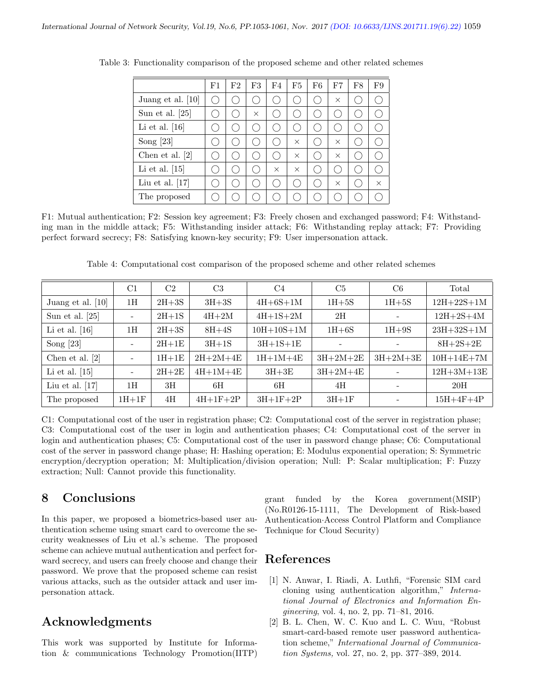|                     | F1                 | F2 | F3            | F4        | F5       | F6 | F7       | F8 | F9       |
|---------------------|--------------------|----|---------------|-----------|----------|----|----------|----|----------|
| Juang et al. $[10]$ | $\epsilon_{\rm D}$ |    | $\mathcal{L}$ |           |          |    | $\times$ |    |          |
| Sun et al. $[25]$   |                    | Ο. | X             |           |          |    |          |    |          |
| Li et al. $[16]$    |                    | (  | $(\quad)$     | ŗ.        |          |    |          |    |          |
| Song $[23]$         |                    | Ο. | h.            | H.        | $\times$ |    | $\times$ |    |          |
| Chen et al. $[2]$   |                    | Ο. | $(\quad)$     | $\cdot$ ) | $\times$ |    | $\times$ |    |          |
| Li et al. $[15]$    |                    | Ο. | h.            | $\times$  | $\times$ |    |          |    |          |
| Liu et al. $[17]$   |                    |    |               |           |          |    | $\times$ |    | $\times$ |
| The proposed        |                    |    |               |           |          |    |          |    |          |

Table 3: Functionality comparison of the proposed scheme and other related schemes

F1: Mutual authentication; F2: Session key agreement; F3: Freely chosen and exchanged password; F4: Withstanding man in the middle attack; F5: Withstanding insider attack; F6: Withstanding replay attack; F7: Providing perfect forward secrecy; F8: Satisfying known-key security; F9: User impersonation attack.

Table 4: Computational cost comparison of the proposed scheme and other related schemes

|                   | C1                       | C2      | C <sub>3</sub> | C <sub>4</sub> | C5                       | C <sub>6</sub> | Total            |
|-------------------|--------------------------|---------|----------------|----------------|--------------------------|----------------|------------------|
| Juang et al. [10] | 1H                       | $2H+3S$ | $3H+3S$        | $4H+6S+1M$     | $1H+5S$                  | $1H+5S$        | $12H + 22S + 1M$ |
| Sun et al. $[25]$ | $\overline{\phantom{a}}$ | $2H+1S$ | $4H+2M$        | $4H+1S+2M$     | 2H                       |                | $12H+2S+4M$      |
| Li et al. $[16]$  | 1Н                       | $2H+3S$ | $8H+4S$        | $10H+10S+1M$   | $1H+6S$                  | $1H+9S$        | $23H + 32S + 1M$ |
| Song $[23]$       | $\overline{\phantom{a}}$ | $2H+1E$ | $3H+1S$        | $3H+1S+1E$     |                          |                | $8H+2S+2E$       |
| Chen et al. $[2]$ |                          | $1H+1E$ | $2H+2M+4E$     | $1H+1M+4E$     | $3H+2M+2E$<br>$3H+2M+3E$ |                | $10H + 14E + 7M$ |
| Li et al. $[15]$  | $\overline{\phantom{a}}$ | $2H+2E$ | $4H+1M+4E$     | $3H+3E$        | $3H+2M+4E$               |                | $12H+3M+13E$     |
| Liu et al. $[17]$ | 1H                       | 3H      | 6H             | 6H             | 4H                       |                | 20H              |
| The proposed      | $1H+1F$                  | 4H      | $4H+1F+2P$     | $3H+1F+2P$     | $3H+1F$                  |                | $15H+4F+4P$      |

C1: Computational cost of the user in registration phase; C2: Computational cost of the server in registration phase; C3: Computational cost of the user in login and authentication phases; C4: Computational cost of the server in login and authentication phases; C5: Computational cost of the user in password change phase; C6: Computational cost of the server in password change phase; H: Hashing operation; E: Modulus exponential operation; S: Symmetric encryption/decryption operation; M: Multiplication/division operation; Null: P: Scalar multiplication; F: Fuzzy extraction; Null: Cannot provide this functionality.

# 8 Conclusions

In this paper, we proposed a biometrics-based user authentication scheme using smart card to overcome the security weaknesses of Liu et al.'s scheme. The proposed scheme can achieve mutual authentication and perfect forward secrecy, and users can freely choose and change their password. We prove that the proposed scheme can resist various attacks, such as the outsider attack and user impersonation attack.

# Acknowledgments

This work was supported by Institute for Information & communications Technology Promotion(IITP) grant funded by the Korea government(MSIP) (No.R0126-15-1111, The Development of Risk-based Authentication·Access Control Platform and Compliance Technique for Cloud Security)

# References

- [1] N. Anwar, I. Riadi, A. Luthfi, "Forensic SIM card cloning using authentication algorithm," International Journal of Electronics and Information Engineering, vol. 4, no. 2, pp. 71–81, 2016.
- [2] B. L. Chen, W. C. Kuo and L. C. Wuu, "Robust smart-card-based remote user password authentication scheme," International Journal of Communication Systems, vol. 27, no. 2, pp. 377–389, 2014.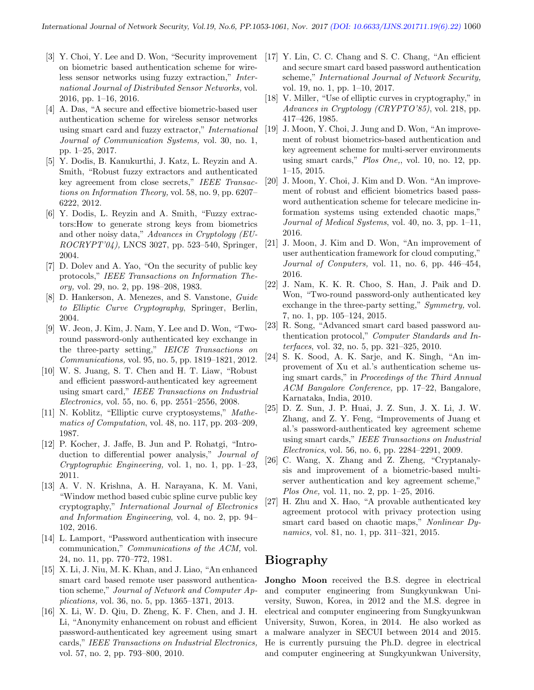- [3] Y. Choi, Y. Lee and D. Won, "Security improvement on biometric based authentication scheme for wireless sensor networks using fuzzy extraction," International Journal of Distributed Sensor Networks, vol. 2016, pp. 1–16, 2016.
- [4] A. Das, "A secure and effective biometric-based user authentication scheme for wireless sensor networks using smart card and fuzzy extractor," International Journal of Communication Systems, vol. 30, no. 1, pp. 1–25, 2017.
- [5] Y. Dodis, B. Kanukurthi, J. Katz, L. Reyzin and A. Smith, "Robust fuzzy extractors and authenticated key agreement from close secrets," IEEE Transactions on Information Theory, vol. 58, no. 9, pp. 6207– 6222, 2012.
- [6] Y. Dodis, L. Reyzin and A. Smith, "Fuzzy extractors:How to generate strong keys from biometrics and other noisy data," Advances in Cryptology (EU-ROCRYPT'04), LNCS 3027, pp. 523–540, Springer, 2004.
- [7] D. Dolev and A. Yao, "On the security of public key protocols," IEEE Transactions on Information Theory, vol. 29, no. 2, pp. 198–208, 1983.
- [8] D. Hankerson, A. Menezes, and S. Vanstone, Guide to Elliptic Curve Cryptography, Springer, Berlin, 2004.
- [9] W. Jeon, J. Kim, J. Nam, Y. Lee and D. Won, "Tworound password-only authenticated key exchange in the three-party setting," IEICE Transactions on Communications, vol. 95, no. 5, pp. 1819–1821, 2012.
- [10] W. S. Juang, S. T. Chen and H. T. Liaw, "Robust and efficient password-authenticated key agreement using smart card," IEEE Transactions on Industrial Electronics, vol. 55, no. 6, pp. 2551–2556, 2008.
- [11] N. Koblitz, "Elliptic curve cryptosystems," Mathematics of Computation, vol. 48, no. 117, pp. 203–209, 1987.
- [12] P. Kocher, J. Jaffe, B. Jun and P. Rohatgi, "Introduction to differential power analysis," Journal of Cryptographic Engineering, vol. 1, no. 1, pp. 1–23, 2011.
- [13] A. V. N. Krishna, A. H. Narayana, K. M. Vani, "Window method based cubic spline curve public key cryptography," International Journal of Electronics and Information Engineering, vol. 4, no. 2, pp. 94– 102, 2016.
- [14] L. Lamport, "Password authentication with insecure communication," Communications of the ACM, vol. 24, no. 11, pp. 770–772, 1981.
- [15] X. Li, J. Niu, M. K. Khan, and J. Liao, "An enhanced smart card based remote user password authentication scheme," Journal of Network and Computer Applications, vol. 36, no. 5, pp. 1365–1371, 2013.
- [16] X. Li, W. D. Qiu, D. Zheng, K. F. Chen, and J. H. Li, "Anonymity enhancement on robust and efficient password-authenticated key agreement using smart cards," IEEE Transactions on Industrial Electronics, vol. 57, no. 2, pp. 793–800, 2010.
- [17] Y. Lin, C. C. Chang and S. C. Chang, "An efficient and secure smart card based password authentication scheme," International Journal of Network Security, vol. 19, no. 1, pp. 1–10, 2017.
- [18] V. Miller, "Use of elliptic curves in cryptography," in Advances in Cryptology (CRYPTO'85), vol. 218, pp. 417–426, 1985.
- [19] J. Moon, Y. Choi, J. Jung and D. Won, "An improvement of robust biometrics-based authentication and key agreement scheme for multi-server environments using smart cards," Plos One,, vol. 10, no. 12, pp. 1–15, 2015.
- [20] J. Moon, Y. Choi, J. Kim and D. Won. "An improvement of robust and efficient biometrics based password authentication scheme for telecare medicine information systems using extended chaotic maps," Journal of Medical Systems, vol. 40, no. 3, pp. 1–11, 2016.
- [21] J. Moon, J. Kim and D. Won, "An improvement of user authentication framework for cloud computing," Journal of Conputers, vol. 11, no. 6, pp. 446–454, 2016.
- [22] J. Nam, K. K. R. Choo, S. Han, J. Paik and D. Won, "Two-round password-only authenticated key exchange in the three-party setting," Symmetry, vol. 7, no. 1, pp. 105–124, 2015.
- [23] R. Song, "Advanced smart card based password authentication protocol," Computer Standards and Interfaces, vol. 32, no. 5, pp. 321–325, 2010.
- [24] S. K. Sood, A. K. Sarje, and K. Singh, "An improvement of Xu et al.'s authentication scheme using smart cards," in Proceedings of the Third Annual ACM Bangalore Conference, pp. 17–22, Bangalore, Karnataka, India, 2010.
- [25] D. Z. Sun, J. P. Huai, J. Z. Sun, J. X. Li, J. W. Zhang, and Z. Y. Feng, "Improvements of Juang et al.'s password-authenticated key agreement scheme using smart cards," IEEE Transactions on Industrial Electronics, vol. 56, no. 6, pp. 2284–2291, 2009.
- [26] C. Wang, X. Zhang and Z. Zheng, "Cryptanalysis and improvement of a biometric-based multiserver authentication and key agreement scheme," Plos One, vol. 11, no. 2, pp. 1–25, 2016.
- [27] H. Zhu and X. Hao, "A provable authenticated key agreement protocol with privacy protection using smart card based on chaotic maps," Nonlinear Dynamics, vol. 81, no. 1, pp. 311–321, 2015.

# Biography

Jongho Moon received the B.S. degree in electrical and computer engineering from Sungkyunkwan University, Suwon, Korea, in 2012 and the M.S. degree in electrical and computer engineering from Sungkyunkwan University, Suwon, Korea, in 2014. He also worked as a malware analyzer in SECUI between 2014 and 2015. He is currently pursuing the Ph.D. degree in electrical and computer engineering at Sungkyunkwan University,